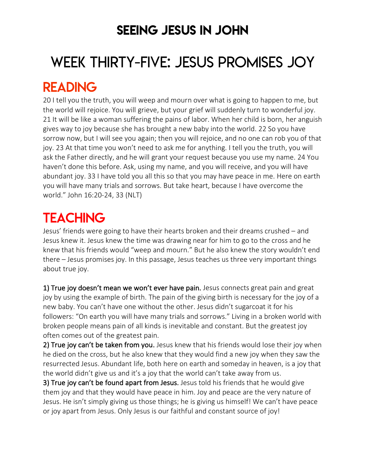### SEEING JESUS IN JOHN

# WEEK THIRTY-FIVE: JESUS PROMISES JOY

### READING

20 I tell you the truth, you will weep and mourn over what is going to happen to me, but the world will rejoice. You will grieve, but your grief will suddenly turn to wonderful joy. 21 It will be like a woman suffering the pains of labor. When her child is born, her anguish gives way to joy because she has brought a new baby into the world. 22 So you have sorrow now, but I will see you again; then you will rejoice, and no one can rob you of that joy. 23 At that time you won't need to ask me for anything. I tell you the truth, you will ask the Father directly, and he will grant your request because you use my name. 24 You haven't done this before. Ask, using my name, and you will receive, and you will have abundant joy. 33 I have told you all this so that you may have peace in me. Here on earth you will have many trials and sorrows. But take heart, because I have overcome the world." John 16:20-24, 33 (NLT)

# **TEACHING**

Jesus' friends were going to have their hearts broken and their dreams crushed – and Jesus knew it. Jesus knew the time was drawing near for him to go to the cross and he knew that his friends would "weep and mourn." But he also knew the story wouldn't end there – Jesus promises joy. In this passage, Jesus teaches us three very important things about true joy.

1) True joy doesn't mean we won't ever have pain. Jesus connects great pain and great joy by using the example of birth. The pain of the giving birth is necessary for the joy of a new baby. You can't have one without the other. Jesus didn't sugarcoat it for his followers: "On earth you will have many trials and sorrows." Living in a broken world with broken people means pain of all kinds is inevitable and constant. But the greatest joy often comes out of the greatest pain.

2) True joy can't be taken from you. Jesus knew that his friends would lose their joy when he died on the cross, but he also knew that they would find a new joy when they saw the resurrected Jesus. Abundant life, both here on earth and someday in heaven, is a joy that the world didn't give us and it's a joy that the world can't take away from us.

3) True joy can't be found apart from Jesus. Jesus told his friends that he would give them joy and that they would have peace in him. Joy and peace are the very nature of Jesus. He isn't simply giving us those things; he is giving us himself! We can't have peace or joy apart from Jesus. Only Jesus is our faithful and constant source of joy!